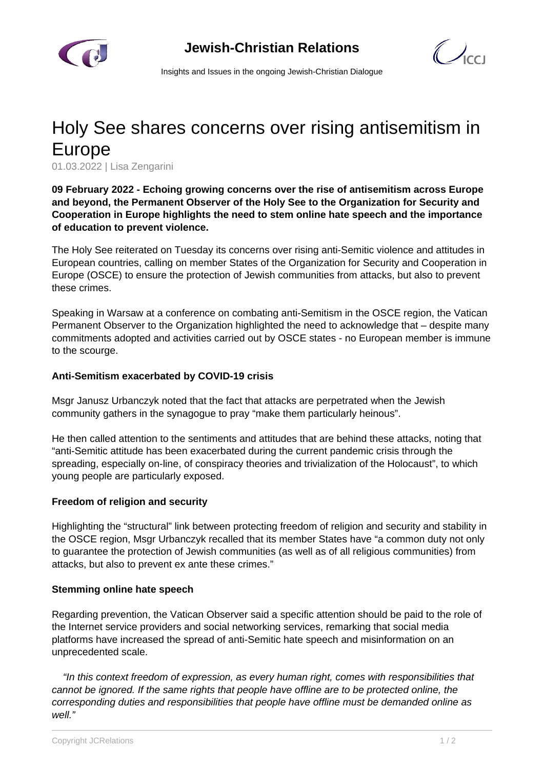



Insights and Issues in the ongoing Jewish-Christian Dialogue

# Holy See shares concerns over rising antisemitism in Europe

01.03.2022 | Lisa Zengarini

**09 February 2022 - Echoing growing concerns over the rise of antisemitism across Europe and beyond, the Permanent Observer of the Holy See to the Organization for Security and Cooperation in Europe highlights the need to stem online hate speech and the importance of education to prevent violence.**

The Holy See reiterated on Tuesday its concerns over rising anti-Semitic violence and attitudes in European countries, calling on member States of the Organization for Security and Cooperation in Europe (OSCE) to ensure the protection of Jewish communities from attacks, but also to prevent these crimes.

Speaking in Warsaw at a conference on combating anti-Semitism in the OSCE region, the Vatican Permanent Observer to the Organization highlighted the need to acknowledge that – despite many commitments adopted and activities carried out by OSCE states - no European member is immune to the scourge.

# **Anti-Semitism exacerbated by COVID-19 crisis**

Msgr Janusz Urbanczyk noted that the fact that attacks are perpetrated when the Jewish community gathers in the synagogue to pray "make them particularly heinous".

He then called attention to the sentiments and attitudes that are behind these attacks, noting that "anti-Semitic attitude has been exacerbated during the current pandemic crisis through the spreading, especially on-line, of conspiracy theories and trivialization of the Holocaust", to which young people are particularly exposed.

# **Freedom of religion and security**

Highlighting the "structural" link between protecting freedom of religion and security and stability in the OSCE region, Msgr Urbanczyk recalled that its member States have "a common duty not only to guarantee the protection of Jewish communities (as well as of all religious communities) from attacks, but also to prevent ex ante these crimes."

#### **Stemming online hate speech**

Regarding prevention, the Vatican Observer said a specific attention should be paid to the role of the Internet service providers and social networking services, remarking that social media platforms have increased the spread of anti-Semitic hate speech and misinformation on an unprecedented scale.

 "In this context freedom of expression, as every human right, comes with responsibilities that cannot be ignored. If the same rights that people have offline are to be protected online, the corresponding duties and responsibilities that people have offline must be demanded online as well."